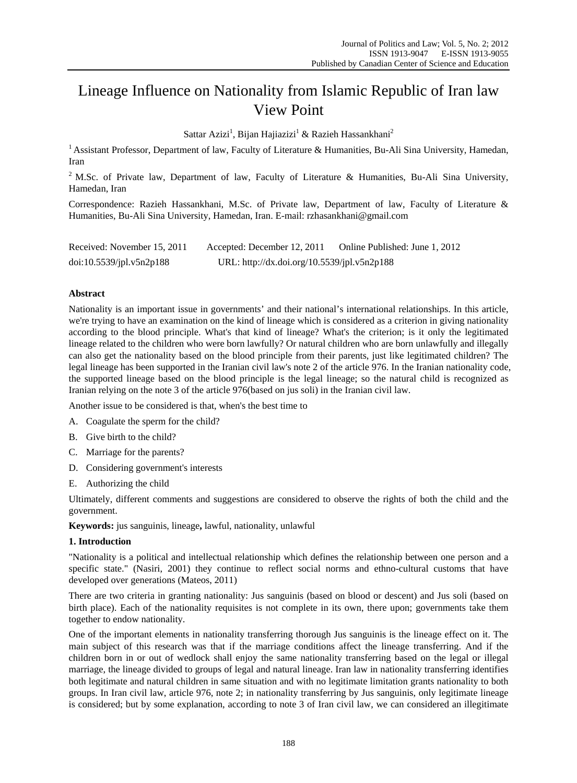# Lineage Influence on Nationality from Islamic Republic of Iran law View Point

Sattar Azizi<sup>1</sup>, Bijan Hajiazizi<sup>1</sup> & Razieh Hassankhani<sup>2</sup>

<sup>1</sup> Assistant Professor, Department of law, Faculty of Literature & Humanities, Bu-Ali Sina University, Hamedan, Iran

<sup>2</sup> M.Sc. of Private law, Department of law, Faculty of Literature & Humanities, Bu-Ali Sina University, Hamedan, Iran

Correspondence: Razieh Hassankhani, M.Sc. of Private law, Department of law, Faculty of Literature & Humanities, Bu-Ali Sina University, Hamedan, Iran. E-mail: rzhasankhani@gmail.com

| Received: November 15, 2011 | Accepted: December 12, 2011                 | Online Published: June 1, 2012 |
|-----------------------------|---------------------------------------------|--------------------------------|
| doi:10.5539/ipl.v5n2p188    | URL: http://dx.doi.org/10.5539/jpl.v5n2p188 |                                |

## **Abstract**

Nationality is an important issue in governments' and their national's international relationships. In this article, we're trying to have an examination on the kind of lineage which is considered as a criterion in giving nationality according to the blood principle. What's that kind of lineage? What's the criterion; is it only the legitimated lineage related to the children who were born lawfully? Or natural children who are born unlawfully and illegally can also get the nationality based on the blood principle from their parents, just like legitimated children? The legal lineage has been supported in the Iranian civil law's note 2 of the article 976. In the Iranian nationality code, the supported lineage based on the blood principle is the legal lineage; so the natural child is recognized as Iranian relying on the note 3 of the article 976(based on jus soli) in the Iranian civil law.

Another issue to be considered is that, when's the best time to

- A. Coagulate the sperm for the child?
- B. Give birth to the child?
- C. Marriage for the parents?
- D. Considering government's interests
- E. Authorizing the child

Ultimately, different comments and suggestions are considered to observe the rights of both the child and the government.

**Keywords:** jus sanguinis, lineage**,** lawful, nationality, unlawful

#### **1. Introduction**

"Nationality is a political and intellectual relationship which defines the relationship between one person and a specific state." (Nasiri, 2001) they continue to reflect social norms and ethno-cultural customs that have developed over generations (Mateos, 2011)

There are two criteria in granting nationality: Jus sanguinis (based on blood or descent) and Jus soli (based on birth place). Each of the nationality requisites is not complete in its own, there upon; governments take them together to endow nationality.

One of the important elements in nationality transferring thorough Jus sanguinis is the lineage effect on it. The main subject of this research was that if the marriage conditions affect the lineage transferring. And if the children born in or out of wedlock shall enjoy the same nationality transferring based on the legal or illegal marriage, the lineage divided to groups of legal and natural lineage. Iran law in nationality transferring identifies both legitimate and natural children in same situation and with no legitimate limitation grants nationality to both groups. In Iran civil law, article 976, note 2; in nationality transferring by Jus sanguinis, only legitimate lineage is considered; but by some explanation, according to note 3 of Iran civil law, we can considered an illegitimate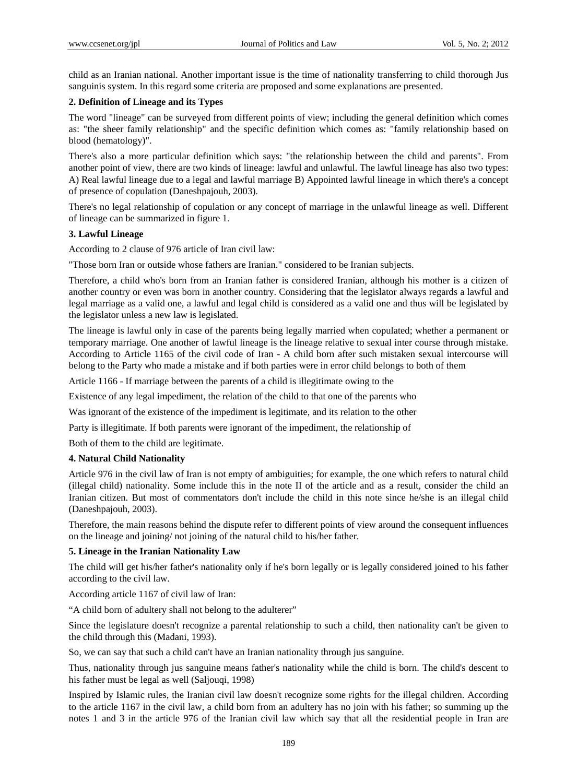child as an Iranian national. Another important issue is the time of nationality transferring to child thorough Jus sanguinis system. In this regard some criteria are proposed and some explanations are presented.

#### **2. Definition of Lineage and its Types**

The word "lineage" can be surveyed from different points of view; including the general definition which comes as: "the sheer family relationship" and the specific definition which comes as: "family relationship based on blood (hematology)".

There's also a more particular definition which says: "the relationship between the child and parents". From another point of view, there are two kinds of lineage: lawful and unlawful. The lawful lineage has also two types: A) Real lawful lineage due to a legal and lawful marriage B) Appointed lawful lineage in which there's a concept of presence of copulation (Daneshpajouh, 2003).

There's no legal relationship of copulation or any concept of marriage in the unlawful lineage as well. Different of lineage can be summarized in figure 1.

### **3. Lawful Lineage**

According to 2 clause of 976 article of Iran civil law:

"Those born Iran or outside whose fathers are Iranian." considered to be Iranian subjects.

Therefore, a child who's born from an Iranian father is considered Iranian, although his mother is a citizen of another country or even was born in another country. Considering that the legislator always regards a lawful and legal marriage as a valid one, a lawful and legal child is considered as a valid one and thus will be legislated by the legislator unless a new law is legislated.

The lineage is lawful only in case of the parents being legally married when copulated; whether a permanent or temporary marriage. One another of lawful lineage is the lineage relative to sexual inter course through mistake. According to Article 1165 of the civil code of Iran - A child born after such mistaken sexual intercourse will belong to the Party who made a mistake and if both parties were in error child belongs to both of them

Article 1166 - If marriage between the parents of a child is illegitimate owing to the

Existence of any legal impediment, the relation of the child to that one of the parents who

Was ignorant of the existence of the impediment is legitimate, and its relation to the other

Party is illegitimate. If both parents were ignorant of the impediment, the relationship of

Both of them to the child are legitimate.

#### **4. Natural Child Nationality**

Article 976 in the civil law of Iran is not empty of ambiguities; for example, the one which refers to natural child (illegal child) nationality. Some include this in the note II of the article and as a result, consider the child an Iranian citizen. But most of commentators don't include the child in this note since he/she is an illegal child (Daneshpajouh, 2003).

Therefore, the main reasons behind the dispute refer to different points of view around the consequent influences on the lineage and joining/ not joining of the natural child to his/her father.

#### **5. Lineage in the Iranian Nationality Law**

The child will get his/her father's nationality only if he's born legally or is legally considered joined to his father according to the civil law.

According article 1167 of civil law of Iran:

"A child born of adultery shall not belong to the adulterer"

Since the legislature doesn't recognize a parental relationship to such a child, then nationality can't be given to the child through this (Madani, 1993).

So, we can say that such a child can't have an Iranian nationality through jus sanguine.

Thus, nationality through jus sanguine means father's nationality while the child is born. The child's descent to his father must be legal as well (Saljouqi, 1998)

Inspired by Islamic rules, the Iranian civil law doesn't recognize some rights for the illegal children. According to the article 1167 in the civil law, a child born from an adultery has no join with his father; so summing up the notes 1 and 3 in the article 976 of the Iranian civil law which say that all the residential people in Iran are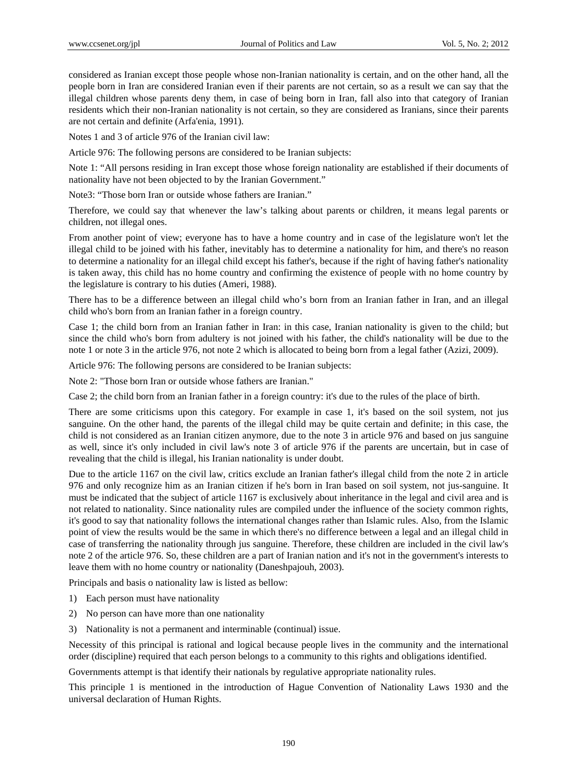considered as Iranian except those people whose non-Iranian nationality is certain, and on the other hand, all the people born in Iran are considered Iranian even if their parents are not certain, so as a result we can say that the illegal children whose parents deny them, in case of being born in Iran, fall also into that category of Iranian residents which their non-Iranian nationality is not certain, so they are considered as Iranians, since their parents are not certain and definite (Arfa'enia, 1991).

Notes 1 and 3 of article 976 of the Iranian civil law:

Article 976: The following persons are considered to be Iranian subjects:

Note 1: "All persons residing in Iran except those whose foreign nationality are established if their documents of nationality have not been objected to by the Iranian Government."

Note3: "Those born Iran or outside whose fathers are Iranian."

Therefore, we could say that whenever the law's talking about parents or children, it means legal parents or children, not illegal ones.

From another point of view; everyone has to have a home country and in case of the legislature won't let the illegal child to be joined with his father, inevitably has to determine a nationality for him, and there's no reason to determine a nationality for an illegal child except his father's, because if the right of having father's nationality is taken away, this child has no home country and confirming the existence of people with no home country by the legislature is contrary to his duties (Ameri, 1988).

There has to be a difference between an illegal child who's born from an Iranian father in Iran, and an illegal child who's born from an Iranian father in a foreign country.

Case 1; the child born from an Iranian father in Iran: in this case, Iranian nationality is given to the child; but since the child who's born from adultery is not joined with his father, the child's nationality will be due to the note 1 or note 3 in the article 976, not note 2 which is allocated to being born from a legal father (Azizi, 2009).

Article 976: The following persons are considered to be Iranian subjects:

Note 2: "Those born Iran or outside whose fathers are Iranian."

Case 2; the child born from an Iranian father in a foreign country: it's due to the rules of the place of birth.

There are some criticisms upon this category. For example in case 1, it's based on the soil system, not jus sanguine. On the other hand, the parents of the illegal child may be quite certain and definite; in this case, the child is not considered as an Iranian citizen anymore, due to the note 3 in article 976 and based on jus sanguine as well, since it's only included in civil law's note 3 of article 976 if the parents are uncertain, but in case of revealing that the child is illegal, his Iranian nationality is under doubt.

Due to the article 1167 on the civil law, critics exclude an Iranian father's illegal child from the note 2 in article 976 and only recognize him as an Iranian citizen if he's born in Iran based on soil system, not jus-sanguine. It must be indicated that the subject of article 1167 is exclusively about inheritance in the legal and civil area and is not related to nationality. Since nationality rules are compiled under the influence of the society common rights, it's good to say that nationality follows the international changes rather than Islamic rules. Also, from the Islamic point of view the results would be the same in which there's no difference between a legal and an illegal child in case of transferring the nationality through jus sanguine. Therefore, these children are included in the civil law's note 2 of the article 976. So, these children are a part of Iranian nation and it's not in the government's interests to leave them with no home country or nationality (Daneshpajouh, 2003).

Principals and basis o nationality law is listed as bellow:

- 1) Each person must have nationality
- 2) No person can have more than one nationality
- 3) Nationality is not a permanent and interminable (continual) issue.

Necessity of this principal is rational and logical because people lives in the community and the international order (discipline) required that each person belongs to a community to this rights and obligations identified.

Governments attempt is that identify their nationals by regulative appropriate nationality rules.

This principle 1 is mentioned in the introduction of Hague Convention of Nationality Laws 1930 and the universal declaration of Human Rights.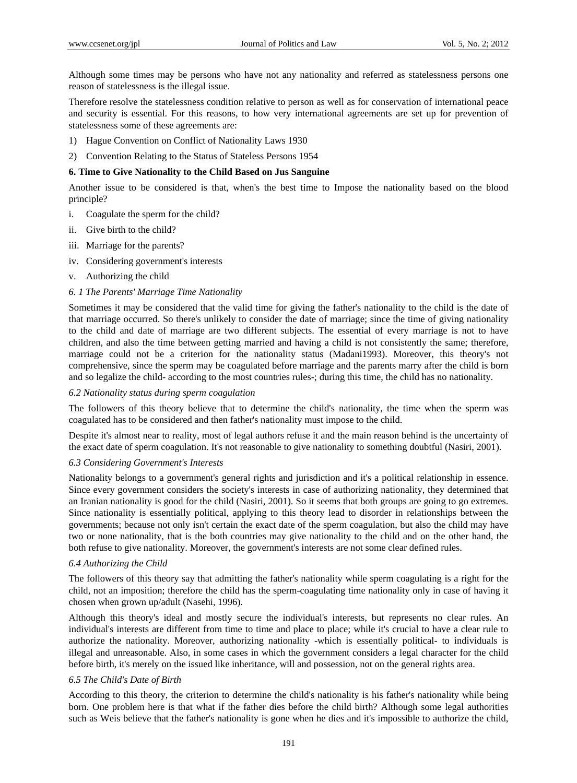Although some times may be persons who have not any nationality and referred as statelessness persons one reason of statelessness is the illegal issue.

Therefore resolve the statelessness condition relative to person as well as for conservation of international peace and security is essential. For this reasons, to how very international agreements are set up for prevention of statelessness some of these agreements are:

- 1) Hague Convention on Conflict of Nationality Laws 1930
- 2) Convention Relating to the Status of Stateless Persons 1954

#### **6. Time to Give Nationality to the Child Based on Jus Sanguine**

Another issue to be considered is that, when's the best time to Impose the nationality based on the blood principle?

- i. Coagulate the sperm for the child?
- ii. Give birth to the child?
- iii. Marriage for the parents?
- iv. Considering government's interests
- v. Authorizing the child

#### *6. 1 The Parents' Marriage Time Nationality*

Sometimes it may be considered that the valid time for giving the father's nationality to the child is the date of that marriage occurred. So there's unlikely to consider the date of marriage; since the time of giving nationality to the child and date of marriage are two different subjects. The essential of every marriage is not to have children, and also the time between getting married and having a child is not consistently the same; therefore, marriage could not be a criterion for the nationality status (Madani1993). Moreover, this theory's not comprehensive, since the sperm may be coagulated before marriage and the parents marry after the child is born and so legalize the child- according to the most countries rules-; during this time, the child has no nationality.

#### *6.2 Nationality status during sperm coagulation*

The followers of this theory believe that to determine the child's nationality, the time when the sperm was coagulated has to be considered and then father's nationality must impose to the child.

Despite it's almost near to reality, most of legal authors refuse it and the main reason behind is the uncertainty of the exact date of sperm coagulation. It's not reasonable to give nationality to something doubtful (Nasiri, 2001).

#### *6.3 Considering Government's Interests*

Nationality belongs to a government's general rights and jurisdiction and it's a political relationship in essence. Since every government considers the society's interests in case of authorizing nationality, they determined that an Iranian nationality is good for the child (Nasiri, 2001). So it seems that both groups are going to go extremes. Since nationality is essentially political, applying to this theory lead to disorder in relationships between the governments; because not only isn't certain the exact date of the sperm coagulation, but also the child may have two or none nationality, that is the both countries may give nationality to the child and on the other hand, the both refuse to give nationality. Moreover, the government's interests are not some clear defined rules.

#### *6.4 Authorizing the Child*

The followers of this theory say that admitting the father's nationality while sperm coagulating is a right for the child, not an imposition; therefore the child has the sperm-coagulating time nationality only in case of having it chosen when grown up/adult (Nasehi, 1996).

Although this theory's ideal and mostly secure the individual's interests, but represents no clear rules. An individual's interests are different from time to time and place to place; while it's crucial to have a clear rule to authorize the nationality. Moreover, authorizing nationality -which is essentially political- to individuals is illegal and unreasonable. Also, in some cases in which the government considers a legal character for the child before birth, it's merely on the issued like inheritance, will and possession, not on the general rights area.

#### *6.5 The Child's Date of Birth*

According to this theory, the criterion to determine the child's nationality is his father's nationality while being born. One problem here is that what if the father dies before the child birth? Although some legal authorities such as Weis believe that the father's nationality is gone when he dies and it's impossible to authorize the child,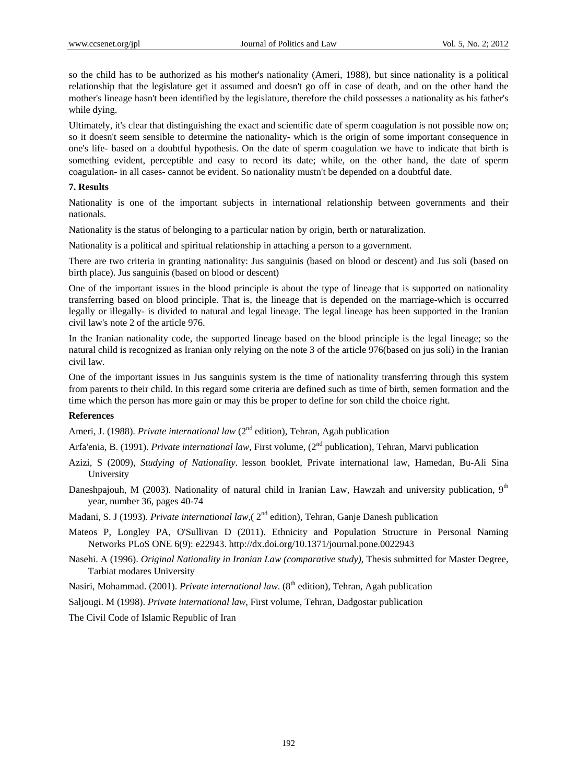so the child has to be authorized as his mother's nationality (Ameri, 1988), but since nationality is a political relationship that the legislature get it assumed and doesn't go off in case of death, and on the other hand the mother's lineage hasn't been identified by the legislature, therefore the child possesses a nationality as his father's while dying.

Ultimately, it's clear that distinguishing the exact and scientific date of sperm coagulation is not possible now on; so it doesn't seem sensible to determine the nationality- which is the origin of some important consequence in one's life- based on a doubtful hypothesis. On the date of sperm coagulation we have to indicate that birth is something evident, perceptible and easy to record its date; while, on the other hand, the date of sperm coagulation- in all cases- cannot be evident. So nationality mustn't be depended on a doubtful date.

#### **7. Results**

Nationality is one of the important subjects in international relationship between governments and their nationals.

Nationality is the status of belonging to a particular nation by origin, berth or naturalization.

Nationality is a political and spiritual relationship in attaching a person to a government.

There are two criteria in granting nationality: Jus sanguinis (based on blood or descent) and Jus soli (based on birth place). Jus sanguinis (based on blood or descent)

One of the important issues in the blood principle is about the type of lineage that is supported on nationality transferring based on blood principle. That is, the lineage that is depended on the marriage-which is occurred legally or illegally- is divided to natural and legal lineage. The legal lineage has been supported in the Iranian civil law's note 2 of the article 976.

In the Iranian nationality code, the supported lineage based on the blood principle is the legal lineage; so the natural child is recognized as Iranian only relying on the note 3 of the article 976(based on jus soli) in the Iranian civil law.

One of the important issues in Jus sanguinis system is the time of nationality transferring through this system from parents to their child. In this regard some criteria are defined such as time of birth, semen formation and the time which the person has more gain or may this be proper to define for son child the choice right.

#### **References**

Ameri, J. (1988). *Private international law* (2<sup>nd</sup> edition), Tehran, Agah publication

Arfa'enia, B. (1991). *Private international law*, First volume, (2nd publication), Tehran, Marvi publication

- Azizi, S (2009), *Studying of Nationality*. lesson booklet, Private international law, Hamedan, Bu-Ali Sina University
- Daneshpajouh, M (2003). Nationality of natural child in Iranian Law, Hawzah and university publication, 9<sup>th</sup> year, number 36, pages 40-74

Madani, S. J (1993). *Private international law*, ( $2<sup>nd</sup>$  edition), Tehran, Ganje Danesh publication

- Mateos P, Longley PA, O'Sullivan D (2011). Ethnicity and Population Structure in Personal Naming Networks PLoS ONE 6(9): e22943. http://dx.doi.org/10.1371/journal.pone.0022943
- Nasehi. A (1996). *Original Nationality in Iranian Law (comparative study)*, Thesis submitted for Master Degree, Tarbiat modares University

Nasiri, Mohammad. (2001). *Private international law*. (8<sup>th</sup> edition), Tehran, Agah publication

Saljougi. M (1998). *Private international law*, First volume, Tehran, Dadgostar publication

The Civil Code of Islamic Republic of Iran